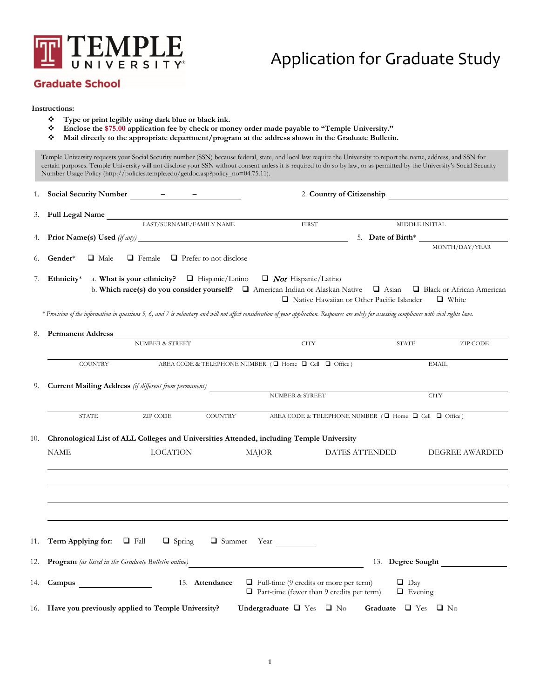

## Application for Graduate Study

## **Graduate School**

#### **Instructions:**

- **Type or print legibly using dark blue or black ink.**
- **Enclose the \$75.00 application fee by check or money order made payable to "Temple University."**
- **Mail directly to the appropriate department/program at the address shown in the Graduate Bulletin.**

Temple University requests your Social Security number (SSN) because federal, state, and local law require the University to report the name, address, and SSN for certain purposes. Temple University will not disclose your SSN without consent unless it is required to do so by law, or as permitted by the University's Social Security Number Usage Policy (http://policies.temple.edu/getdoc.asp?policy\_no=04.75.11). 1. **Social Security Number – –** 2. **Country of Citizenship** 3. **Full Legal Name** LAST/SURNAME/FAMILY NAME FIRST MIDDLE INITIAL 4. **Prior Name(s) Used** *(if any)* 5. **Date of Birth**\* MONTH/DAY/YEAR 6. **Gender**\*  $\Box$  Male  $\Box$  Female  $\Box$  Prefer to not disclose 7. **Ethnicity**\* a. What is your ethnicity?  $\Box$  Hispanic/Latino  $\Box$  *Not* Hispanic/Latino

b. Which **race(s)** do you consider yourself?  $\Box$  American Indian or Alaskan Native  $\Box$  Asian  $\Box$  Black or African American  $\Box$  Native Hawaiian or Other Pacific Islander  $\Box$  White

*\* Provision of the information in questions 5, 6, and 7 is voluntary and will not affect consideration of your application. Responses are solely for assessing compliance with civil rights laws.*

| 8.  | Permanent Address                                                                         |                            |                |                                                                      |                                                                                                   |                              |                       |  |  |
|-----|-------------------------------------------------------------------------------------------|----------------------------|----------------|----------------------------------------------------------------------|---------------------------------------------------------------------------------------------------|------------------------------|-----------------------|--|--|
|     |                                                                                           | <b>NUMBER &amp; STREET</b> |                | <b>CITY</b>                                                          |                                                                                                   | <b>STATE</b>                 | ZIP CODE              |  |  |
|     | <b>COUNTRY</b>                                                                            |                            |                | AREA CODE & TELEPHONE NUMBER $(\Box$ Home $\Box$ Cell $\Box$ Office) |                                                                                                   |                              | <b>EMAIL</b>          |  |  |
|     |                                                                                           |                            |                |                                                                      |                                                                                                   |                              |                       |  |  |
|     | 9. Current Mailing Address (if different from permanent)<br>NUMBER & STREET               |                            |                |                                                                      |                                                                                                   | <b>CITY</b>                  |                       |  |  |
|     | <b>STATE</b>                                                                              | ZIP CODE                   | <b>COUNTRY</b> |                                                                      | AREA CODE & TELEPHONE NUMBER ( $\square$ Home $\square$ Cell $\square$ Office)                    |                              |                       |  |  |
| 10. | Chronological List of ALL Colleges and Universities Attended, including Temple University |                            |                |                                                                      |                                                                                                   |                              |                       |  |  |
|     | <b>NAME</b>                                                                               | <b>LOCATION</b>            |                | MAJOR                                                                | DATES ATTENDED                                                                                    |                              | <b>DEGREE AWARDED</b> |  |  |
|     |                                                                                           |                            |                |                                                                      |                                                                                                   |                              |                       |  |  |
|     |                                                                                           |                            |                |                                                                      |                                                                                                   |                              |                       |  |  |
|     |                                                                                           |                            |                |                                                                      |                                                                                                   |                              |                       |  |  |
|     | 11. <b>Term Applying for:</b> $\Box$ Fall $\Box$ Spring $\Box$ Summer Year                |                            |                |                                                                      |                                                                                                   |                              |                       |  |  |
|     |                                                                                           |                            |                |                                                                      |                                                                                                   |                              | 13. Degree Sought     |  |  |
|     | 14. Campus                                                                                |                            | 15. Attendance |                                                                      | $\Box$ Full-time (9 credits or more per term)<br>$\Box$ Part-time (fewer than 9 credits per term) | $\Box$ Day<br>$\Box$ Evening |                       |  |  |
|     | 16. Have you previously applied to Temple University?                                     |                            |                |                                                                      | Undergraduate $\Box$ Yes $\Box$ No Graduate $\Box$ Yes $\Box$ No                                  |                              |                       |  |  |